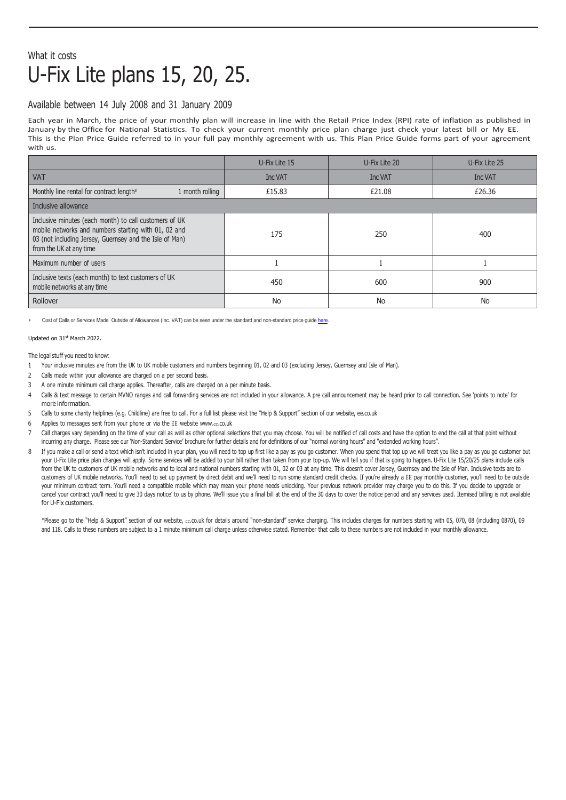## What it costs U-Fix Lite plans 15, 20, 25.

## Available between 14 July 2008 and 31 January 2009

Each year in March, the price of your monthly plan will increase in line with the Retail Price Index (RPI) rate of inflation as published in January by the Office for National Statistics. To check your current monthly price plan charge just check your latest bill or My EE. This is the Plan Price Guide referred to in your full pay monthly agreement with us. This Plan Price Guide forms part of your agreement with us.

|                                                                                                                                                                                                      | U-Fix Lite 15 | U-Fix Lite 20 | U-Fix Lite 25 |
|------------------------------------------------------------------------------------------------------------------------------------------------------------------------------------------------------|---------------|---------------|---------------|
| <b>VAT</b>                                                                                                                                                                                           | Inc VAT       | Inc VAT       | Inc VAT       |
| Monthly line rental for contract length <sup>8</sup><br>1 month rolling                                                                                                                              | £15.83        | £21.08        | £26.36        |
| Inclusive allowance                                                                                                                                                                                  |               |               |               |
| Inclusive minutes (each month) to call customers of UK<br>mobile networks and numbers starting with 01, 02 and<br>03 (not including Jersey, Guernsey and the Isle of Man)<br>from the UK at any time | 175           | 250           | 400           |
| Maximum number of users                                                                                                                                                                              |               |               |               |
| Inclusive texts (each month) to text customers of UK<br>mobile networks at any time                                                                                                                  | 450           | 600           | 900           |
| Rollover                                                                                                                                                                                             | <b>No</b>     | No            | No            |

Cost of Calls or Services Made Outside of Allowances (Inc. VAT) can be seen under the standard and non-standard price quid[e here.](https://ee.co.uk/help/help-new/price-plans/legacy-brand/pay-monthly-price-plans)

Updated on 31st March 2022.

The legal stuff you need to know:

- 1 Your inclusive minutes are from the UK to UK mobile customers and numbers beginning 01, 02 and 03 (excluding Jersey, Guernsey and Isle of Man).
- 2 Calls made within your allowance are charged on a per second basis.
- 3 A one minute minimum call charge applies. Thereafter, calls are charged on a per minute basis.
- 4 Calls & text message to certain MVNO ranges and call forwarding services are not included in your allowance. A pre call announcement may be heard prior to call connection. See 'points to note' for more information.
- 5 Calls to some charity helplines (e.g. Childline) are free to call. For a full list please visit the "Help & Support" section of our website, ee.co.uk
- 6 Applies to messages sent from your phone or via the EE website www.ee[.co.uk](http://www.ee.co.uk/)
- 7 Call charges vary depending on the time of your call as well as other optional selections that you may choose. You will be notified of call costs and have the option to end the call at that point without incurring any charge. Please see our 'Non-Standard Service' brochure for further details and for definitions of our "normal working hours" and "extended working hours".
- 8 If you make a call or send a text which isn't included in your plan, you will need to top up first like a pay as you go customer. When you spend that top up we will treat you like a pay as you go customer but your U-Fix Lite price plan charges will apply. Some services will be added to your bill rather than taken from your top-up. We will tell you if that is going to happen. U-Fix Lite 15/20/25 plans include calls from the UK to customers of UK mobile networks and to local and national numbers starting with 01, 02 or 03 at any time. This doesn't cover Jersey, Guernsey and the Isle of Man. Inclusive texts are to customers of UK mobile networks. You'll need to set up payment by direct debit and we'll need to run some standard credit checks. If you're already a EE pay monthly customer, you'll need to be outside your minimum contract term. You'll need a compatible mobile which may mean your phone needs unlocking. Your previous network provider may charge you to do this. If you decide to upgrade or cancel your contract you'll need to give 30 days notice' to us by phone. We'll issue you a final bill at the end of the 30 days to cover the notice period and any services used. Itemised billing is not available for U-Fix customers.

\*Please go to the "Help & Support" section of our website, ee.co.uk for details around "non-standard" service charging. This includes charges for numbers starting with 05, 070, 08 (including 0870), 09 and 118. Calls to these numbers are subject to a 1 minute minimum call charge unless otherwise stated. Remember that calls to these numbers are not included in your monthly allowance.